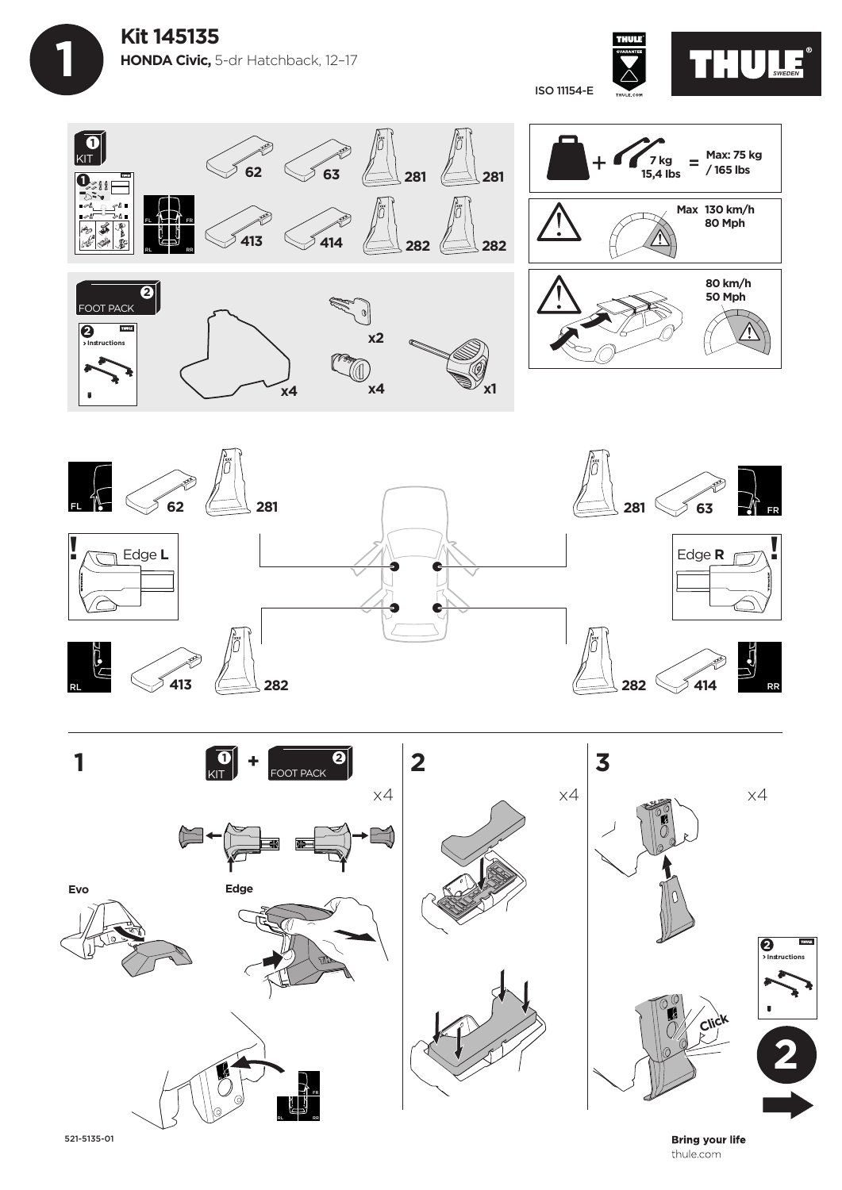**Kit 145135 HONDA Civic,** 5-dr Hatchback, 12–17

 **1**









521-5135-01

**Bring your life** thule.com